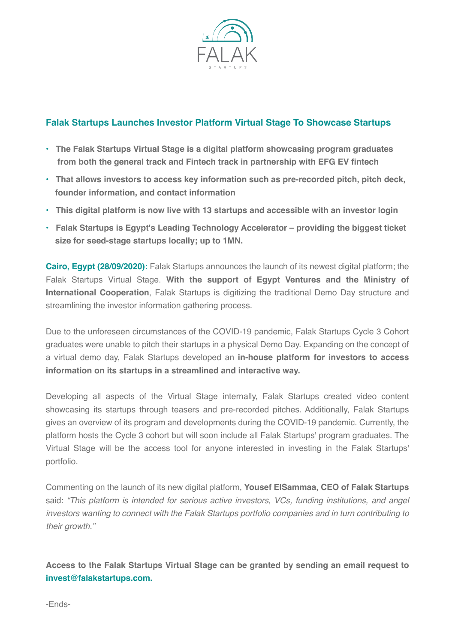

## **Falak Startups Launches Investor Platform Virtual Stage To Showcase Startups**

- **The Falak Startups Virtual Stage is a digital platform showcasing program graduates from both the general track and Fintech track in partnership with EFG EV fintech**
- **That allows investors to access key information such as pre-recorded pitch, pitch deck, founder information, and contact information**
- **This digital platform is now live with 13 startups and accessible with an investor login**
- **Falak Startups is Egypt's Leading Technology Accelerator providing the biggest ticket size for seed-stage startups locally; up to 1MN.**

**Cairo, Egypt (28/09/2020):** Falak Startups announces the launch of its newest digital platform; the Falak Startups Virtual Stage. **With the support of Egypt Ventures and the Ministry of International Cooperation**, Falak Startups is digitizing the traditional Demo Day structure and streamlining the investor information gathering process.

Due to the unforeseen circumstances of the COVID-19 pandemic, Falak Startups Cycle 3 Cohort graduates were unable to pitch their startups in a physical Demo Day. Expanding on the concept of a virtual demo day, Falak Startups developed an **in-house platform for investors to access information on its startups in a streamlined and interactive way.** 

Developing all aspects of the Virtual Stage internally, Falak Startups created video content showcasing its startups through teasers and pre-recorded pitches. Additionally, Falak Startups gives an overview of its program and developments during the COVID-19 pandemic. Currently, the platform hosts the Cycle 3 cohort but will soon include all Falak Startups' program graduates. The Virtual Stage will be the access tool for anyone interested in investing in the Falak Startups' portfolio.

Commenting on the launch of its new digital platform, **Yousef ElSammaa, CEO of Falak Startups**  said: *"This platform is intended for serious active investors, VCs, funding institutions, and angel investors wanting to connect with the Falak Startups portfolio companies and in turn contributing to their growth."*

**Access to the Falak Startups Virtual Stage can be granted by sending an email request to invest@falakstartups.com.**